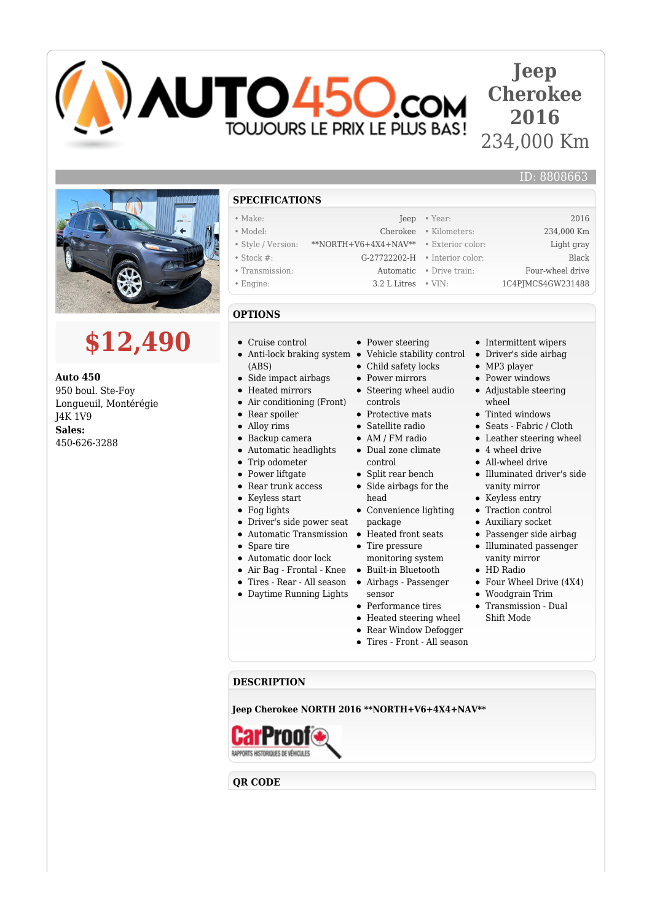

## **Jeep Cherokee 2016** 234,000 Km

ID: 8808663



## **\$12,490**

**Auto 450** 950 boul. Ste-Foy Longueuil, Montérégie J4K 1V9 **Sales:** 450-626-3288

## **SPECIFICATIONS**

- Make: 2016 **Jeep Year:** 2016
- Model: Cherokee Kilometers: 234,000 Km
- Style / Version: \*\*NORTH+V6+4X4+NAV\*\* Exterior color: Light gray
- Stock #: G-27722202-H Interior color: Black
- Transmission: Automatic Drive train: Four-wheel drive
- Engine: 3.2 L Litres VIN: 1C4PJMCS4GW231488
- **OPTIONS**
- Cruise control
- (ABS)
- Side impact airbags
- Heated mirrors
- $\bullet$ Air conditioning (Front)
- Rear spoiler
- Alloy rims
- Backup camera
- Automatic headlights
- Trip odometer  $\bullet$
- $\bullet$  Power liftgate
- Rear trunk access
- Keyless start
- Fog lights
- Driver's side power seat
- 
- Spare tire
- Automatic door lock
- 
- Tires Rear All season
- Daytime Running Lights
- Power steering
- Anti-lock braking system Vehicle stability control
	- Child safety locks
	- Power mirrors
	- Steering wheel audio controls
	- Protective mats
	- Satellite radio
	- AM / FM radio
	- Dual zone climate control
	- Split rear bench
	- Side airbags for the head
	- Convenience lighting package
- Automatic Transmission Heated front seats • Tire pressure
	- monitoring system
- Air Bag Frontal Knee Built-in Bluetooth
	- Airbags Passenger sensor
	- Performance tires
	- Heated steering wheel
	- Rear Window Defogger
	- Tires Front All season
- Intermittent wipers
- Driver's side airbag
- MP3 player
- Power windows
- Adjustable steering wheel
- Tinted windows
- Seats Fabric / Cloth
- Leather steering wheel
- 4 wheel drive
- All-wheel drive
- Illuminated driver's side vanity mirror
- Keyless entry
- Traction control
- Auxiliary socket
- Passenger side airbag Illuminated passenger
- vanity mirror • HD Radio
- 
- Four Wheel Drive (4X4) Woodgrain Trim
- Transmission Dual
- Shift Mode

## **DESCRIPTION**

**Jeep Cherokee NORTH 2016 \*\*NORTH+V6+4X4+NAV\*\***



**QR CODE**